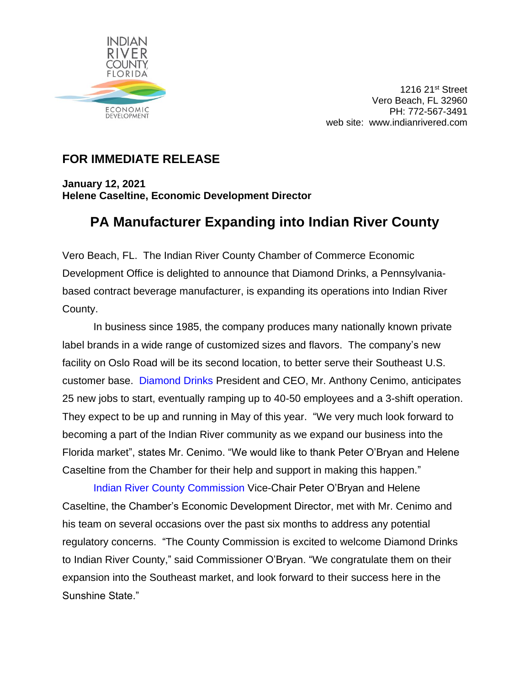

1216 21st Street Vero Beach, FL 32960 PH: 772-567-3491 web site: www.indianrivered.com

## **FOR IMMEDIATE RELEASE**

**January 12, 2021 Helene Caseltine, Economic Development Director** 

## **PA Manufacturer Expanding into Indian River County**

Vero Beach, FL. The Indian River County Chamber of Commerce Economic Development Office is delighted to announce that Diamond Drinks, a Pennsylvaniabased contract beverage manufacturer, is expanding its operations into Indian River County.

In business since 1985, the company produces many nationally known private label brands in a wide range of customized sizes and flavors. The company's new facility on Oslo Road will be its second location, to better serve their Southeast U.S. customer base. [Diamond Drinks](https://www.susconplastics.com/) President and CEO, Mr. Anthony Cenimo, anticipates 25 new jobs to start, eventually ramping up to 40-50 employees and a 3-shift operation. They expect to be up and running in May of this year. "We very much look forward to becoming a part of the Indian River community as we expand our business into the Florida market", states Mr. Cenimo. "We would like to thank Peter O'Bryan and Helene Caseltine from the Chamber for their help and support in making this happen."

[Indian River County Commission](https://www.ircgov.com/) Vice-Chair Peter O'Bryan and Helene Caseltine, the Chamber's Economic Development Director, met with Mr. Cenimo and his team on several occasions over the past six months to address any potential regulatory concerns. "The County Commission is excited to welcome Diamond Drinks to Indian River County," said Commissioner O'Bryan. "We congratulate them on their expansion into the Southeast market, and look forward to their success here in the Sunshine State."